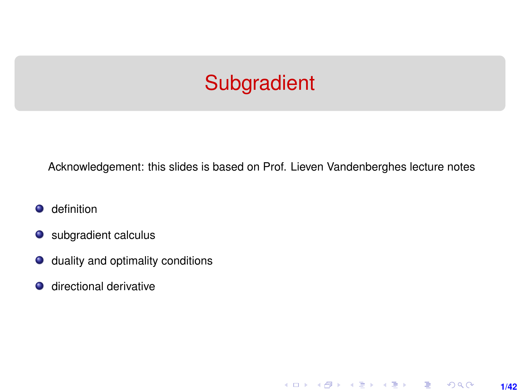# **Subgradient**

<span id="page-0-0"></span>Acknowledgement: this slides is based on Prof. Lieven Vandenberghes lecture notes

**1/42**

K ロ ▶ K 레 ▶ K 호 ▶ K 호 ▶ → 호 → 900

- definition  $\bullet$
- subgradient calculus
- $\bullet$  duality and optimality conditions
- $\bullet$  directional derivative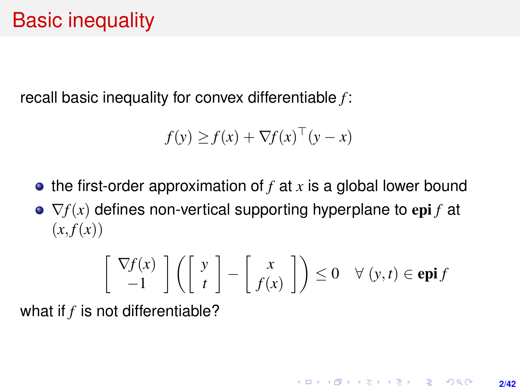recall basic inequality for convex differentiable *f* :

$$
f(y) \ge f(x) + \nabla f(x)^\top (y - x)
$$

- $\bullet$  the first-order approximation of *f* at *x* is a global lower bound
- $\bullet$   $\nabla f(x)$  defines non-vertical supporting hyperplane to epi *f* at  $(x, f(x))$

$$
\begin{bmatrix} \nabla f(x) \\ -1 \end{bmatrix} \left( \begin{bmatrix} y \\ t \end{bmatrix} - \begin{bmatrix} x \\ f(x) \end{bmatrix} \right) \le 0 \quad \forall (y, t) \in \mathbf{epi} f
$$

what if *f* is not differentiable?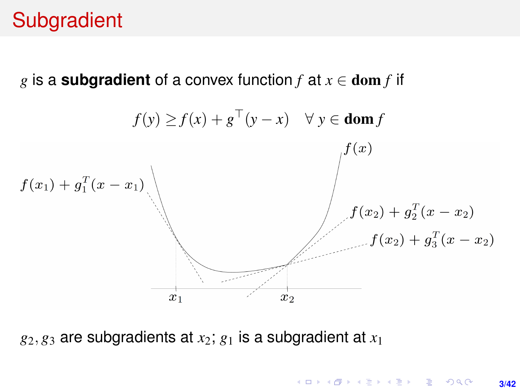# **Subgradient**

*g* is a **subgradient** of a convex function  $f$  at  $x \in \text{dom } f$  if

$$
f(y) \ge f(x) + g^{T}(y - x) \quad \forall y \in \text{dom } f
$$
\n
$$
f(x_1) + g_1^{T}(x - x_1)
$$
\n
$$
f(x_2) + g_2^{T}(x - x_2)
$$
\n
$$
f(x_3) + g_3^{T}(x - x_2)
$$
\n
$$
f(x_2) + g_3^{T}(x - x_2)
$$

 $g_2, g_3$  are subgradients at  $x_2$ ;  $g_1$  is a subgradient at  $x_1$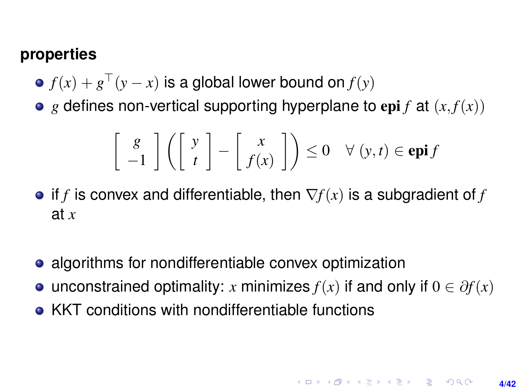#### <span id="page-3-0"></span>**properties**

- $f(x) + g^\top(y x)$  is a global lower bound on  $f(y)$
- $\bullet$  *g* defines non-vertical supporting hyperplane to epi *f* at  $(x, f(x))$

$$
\left[\begin{array}{c} g \\ -1 \end{array}\right] \left(\left[\begin{array}{c} y \\ t \end{array}\right] - \left[\begin{array}{c} x \\ f(x) \end{array}\right]\right) \le 0 \quad \forall (y, t) \in \mathbf{epi}\,f
$$

- $\bullet$  if *f* is convex and differentiable, then  $\nabla f(x)$  is a subgradient of *f* at *x*
- algorithms for nondifferentiable convex optimization
- unconstrained optimality: *x* minimizes  $f(x)$  if and only if  $0 \in \partial f(x)$
- KKT conditions with nondifferentiable functions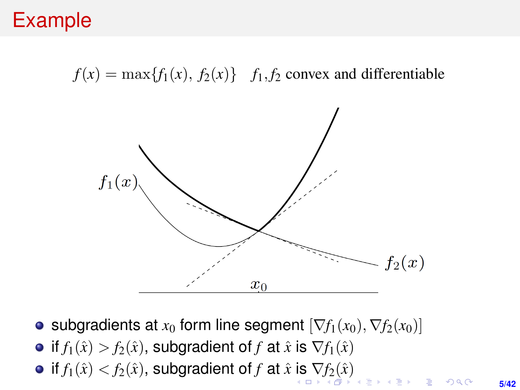# <span id="page-4-0"></span>Example

 $f(x) = \max\{f_1(x), f_2(x)\}$  *f*<sub>1</sub>, *f*<sub>2</sub> convex and differentiable



- subgradients at  $x_0$  form line segment  $[\nabla f_1(x_0), \nabla f_2(x_0)]$
- if  $f_1(\hat{x}) > f_2(\hat{x})$ , subgradient of *f* at  $\hat{x}$  is  $\nabla f_1(\hat{x})$
- $\bullet$  if  $f_1(\hat{x}) < f_2(\hat{x})$  $f_1(\hat{x}) < f_2(\hat{x})$  $f_1(\hat{x}) < f_2(\hat{x})$  $f_1(\hat{x}) < f_2(\hat{x})$ , subgradient of *f* at  $\hat{x}$  [is](#page-3-0)  $\nabla f_2(\hat{x})$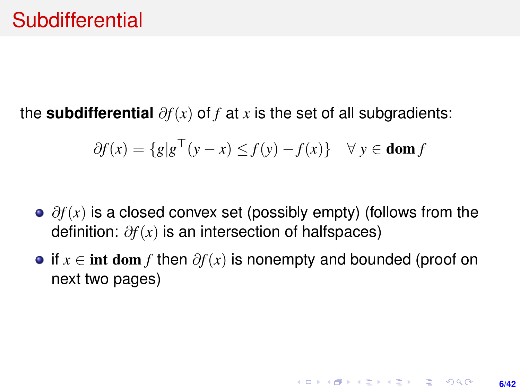<span id="page-5-1"></span><span id="page-5-0"></span>the **subdifferential**  $\partial f(x)$  of *f* at *x* is the set of all subgradients:

$$
\partial f(x) = \{ g | g^{\top}(y - x) \le f(y) - f(x) \} \quad \forall \ y \in \text{dom } f
$$

- ∂*f*(*x*) is a closed convex set (possibly empty) (follows from the definition: ∂*f*(*x*) is an intersection of halfspaces)
- if  $x \in \text{int dom } f$  then  $\partial f(x)$  is nonempty and bounded (proof on next two pages)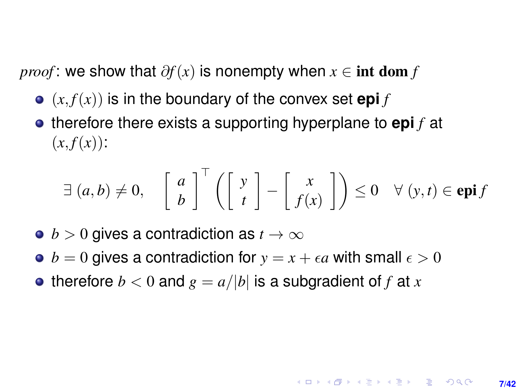*proof* : we show that  $\partial f(x)$  is nonempty when  $x \in \text{int dom } f$ 

- $\bullet$   $(x, f(x))$  is in the boundary of the convex set **epi** *f*
- **•** therefore there exists a supporting hyperplane to **epi** *f* at  $(x, f(x))$ :

$$
\exists (a,b) \neq 0, \quad \begin{bmatrix} a \\ b \end{bmatrix}^{\top} \left( \begin{bmatrix} y \\ t \end{bmatrix} - \begin{bmatrix} x \\ f(x) \end{bmatrix} \right) \leq 0 \quad \forall (y,t) \in \mathbf{epi} f
$$

- $\bullet$  *b* > 0 gives a contradiction as  $t \to \infty$
- $b = 0$  gives a contradiction for  $y = x + \epsilon a$  with small  $\epsilon > 0$
- therefore  $b < 0$  and  $g = a/|b|$  is a subgradient of f at x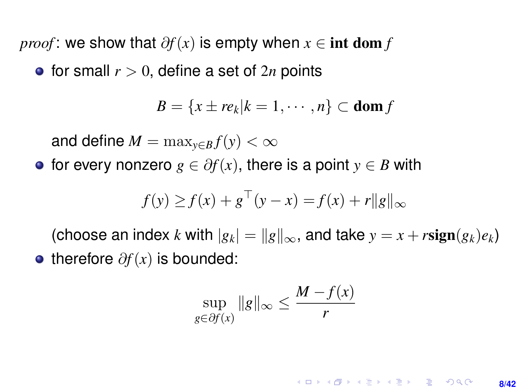*proof* : we show that  $\partial f(x)$  is empty when  $x \in \text{int dom } f$ 

• for small  $r > 0$ , define a set of  $2n$  points

$$
B = \{x \pm re_k | k = 1, \cdots, n\} \subset \text{dom } f
$$

and define  $M = \max_{y \in B} f(y) < \infty$ 

• for every nonzero  $g \in \partial f(x)$ , there is a point  $y \in B$  with

$$
f(y) \ge f(x) + g^{\top}(y - x) = f(x) + r||g||_{\infty}
$$

(choose an index *k* with  $|g_k| = ||g||_{\infty}$ , and take  $y = x + r\text{sign}(g_k)e_k$ ) • therefore  $\partial f(x)$  is bounded:

$$
\sup_{g \in \partial f(x)} \|g\|_{\infty} \le \frac{M - f(x)}{r}
$$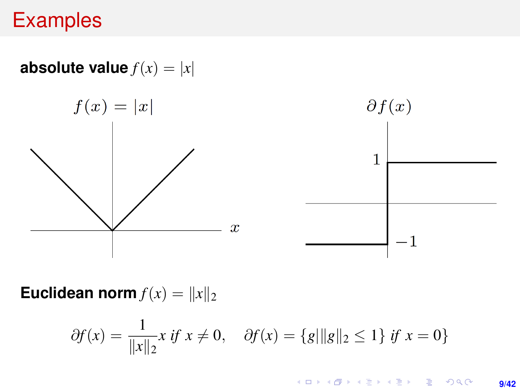# **Examples**

**absolute value**  $f(x) = |x|$ 



**Euclidean norm**  $f(x) = ||x||_2$ 

$$
\partial f(x) = \frac{1}{\|x\|_2} x \text{ if } x \neq 0, \quad \partial f(x) = \{g\|g\|_2 \le 1\} \text{ if } x = 0\}
$$

KO KKO KARA KE KARA 1990 **9/42**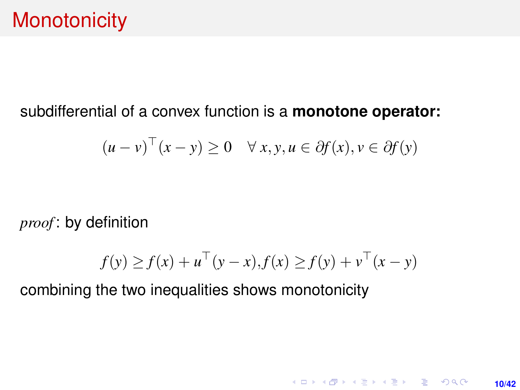#### subdifferential of a convex function is a **monotone operator:**

$$
(u - v)^{\top}(x - y) \ge 0 \quad \forall x, y, u \in \partial f(x), v \in \partial f(y)
$$

*proof* : by definition

$$
f(y) \ge f(x) + u^{\top}(y - x), f(x) \ge f(y) + v^{\top}(x - y)
$$

**10/42**

K ロ ▶ K @ ▶ K 할 ▶ K 할 ▶ 이 할 → 9 Q @

combining the two inequalities shows monotonicity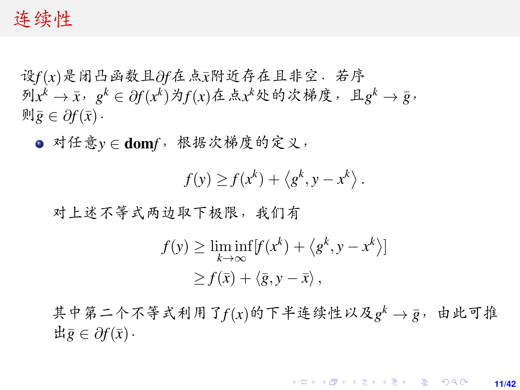#### 连续性

<sup>设</sup>*f*(*x*)是闭凸函数且∂*f*在点¯*x*附近存在且非空.若<sup>序</sup> 列 $x^k$  →  $\bar{x}$ ,  $g^k$  ∈  $\partial f(x^k)$ 为 $f(x)$ 在点 $x^k$ 处的次梯度, 且 $g^k$  →  $\bar{g}$ ,<br>则 $\bar{g}$  ∈  $\partial f(\bar{x})$ .  $\overline{\mathfrak{M}}\overline{\mathfrak{g}} \in \partial f(\overline{x})$ .

● 对任意*y* ∈ domf, 根据次梯度的定义,

 $f(y) \geq f(x^k) + \langle g^k, y - x^k \rangle$ .

<sup>对</sup>上述不等式两边取下极限,我们<sup>有</sup>

$$
f(y) \ge \liminf_{k \to \infty} [f(x^k) + \langle g^k, y - x^k \rangle]
$$
  
\n
$$
\ge f(\bar{x}) + \langle \bar{g}, y - \bar{x} \rangle,
$$

其中第二个不等式利用了 $f(x)$ 的下半连续性以及 $g^k \rightarrow \bar{g}$ , 由此可推  $\exists \bar{g}$  ∈  $\partial f(\bar{x})$ .

> **KOD KARD KED KED DRA 11/42**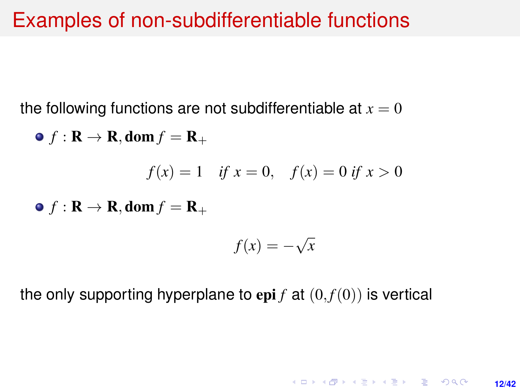## Examples of non-subdifferentiable functions

the following functions are not subdifferentiable at  $x = 0$ 

• 
$$
f: \mathbf{R} \to \mathbf{R}
$$
, dom  $f = \mathbf{R}_+$   
\n $f(x) = 1$  if  $x = 0$ ,  $f(x) = 0$  if  $x > 0$   
\n•  $f: \mathbf{R} \to \mathbf{R}$ , dom  $f = \mathbf{R}_+$   
\n $f(x) = -\sqrt{x}$ 

the only supporting hyperplane to epi  $f$  at  $(0, f(0))$  is vertical

**12/42**

**KORKARK KERKER DRAM**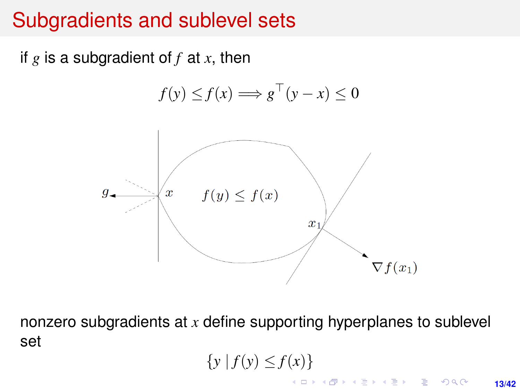# Subgradients and sublevel sets

if  $g$  is a subgradient of  $f$  at  $x$ , then

$$
f(y) \le f(x) \Longrightarrow g^{\top}(y - x) \le 0
$$



nonzero subgradients at *x* define supporting hyperplanes to sublevel set

$$
\{y \mid f(y) \leq f(x)\}\
$$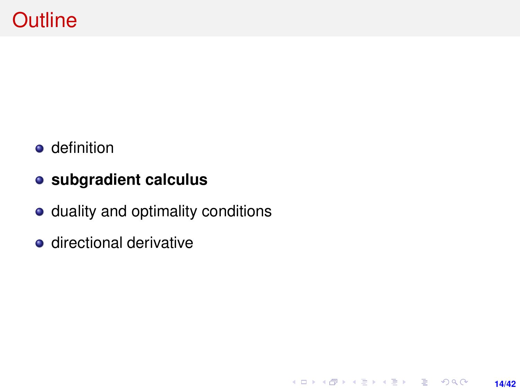- **o** definition
- **subgradient calculus**
- duality and optimality conditions

**14/42**

K ロ ▶ K @ ▶ K 할 ▶ K 할 ▶ ... 할 → 9 Q @

**o** directional derivative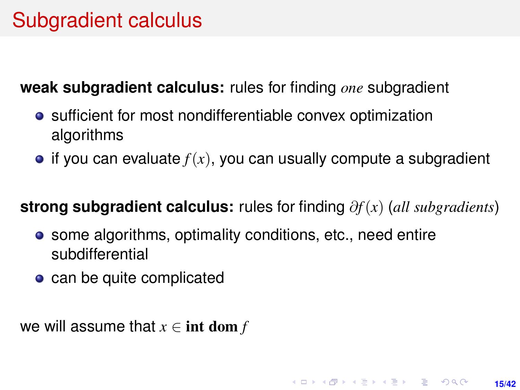# Subgradient calculus

**weak subgradient calculus:** rules for finding *one* subgradient

- sufficient for most nondifferentiable convex optimization algorithms
- $\bullet$  if you can evaluate  $f(x)$ , you can usually compute a subgradient

#### **strong subgradient calculus:** rules for finding ∂*f*(*x*) (*all subgradients*)

- some algorithms, optimality conditions, etc., need entire subdifferential
- can be quite complicated

we will assume that  $x \in \text{int dom } f$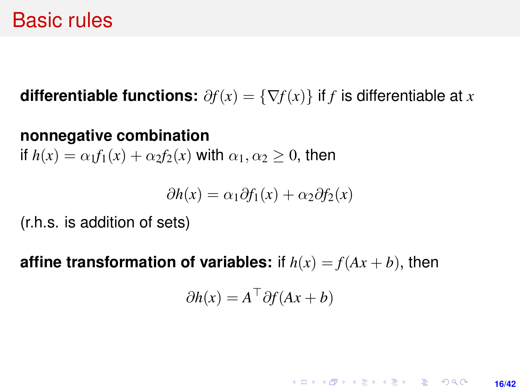## Basic rules

**differentiable functions:**  $\partial f(x) = \{\nabla f(x)\}\$ if *f* is differentiable at *x* 

#### **nonnegative combination**

if  $h(x) = \alpha_1 f_1(x) + \alpha_2 f_2(x)$  with  $\alpha_1, \alpha_2 > 0$ , then

$$
\partial h(x) = \alpha_1 \partial f_1(x) + \alpha_2 \partial f_2(x)
$$

(r.h.s. is addition of sets)

**affine transformation of variables:** if  $h(x) = f(Ax + b)$ , then

$$
\partial h(x) = A^\top \partial f(Ax + b)
$$

**KORKARK KERKER DRAM 16/42**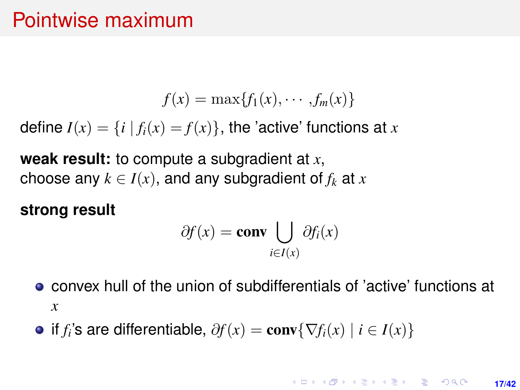# Pointwise maximum

$$
f(x) = \max\{f_1(x), \cdots, f_m(x)\}\
$$

define  $I(x) = \{i \mid f_i(x) = f(x)\}\$ , the 'active' functions at x

**weak result:** to compute a subgradient at *x*, choose any  $k \in I(x)$ , and any subgradient of  $f_k$  at  $x$ 

#### **strong result**

$$
\partial f(x) = \mathbf{conv} \bigcup_{i \in I(x)} \partial f_i(x)
$$

- convex hull of the union of subdifferentials of 'active' functions at *x*
- if *f*<sub>*i*</sub>'s are differentiable,  $\partial f(x) = \text{conv}\{\nabla f_i(x) \mid i \in I(x)\}$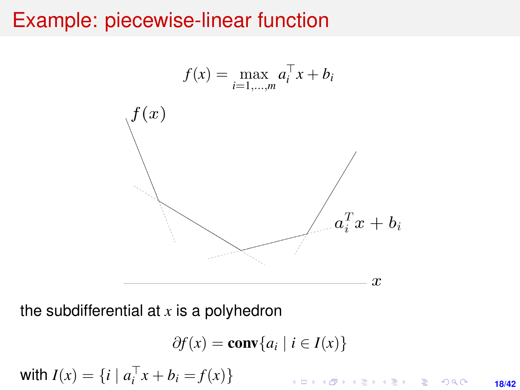## Example: piecewise-linear function



the subdifferential at *x* is a polyhedron

$$
\partial f(x) = \mathbf{conv}\{a_i \mid i \in I(x)\}
$$
  
with  $I(x) = \{i \mid a_i^\top x + b_i = f(x)\}$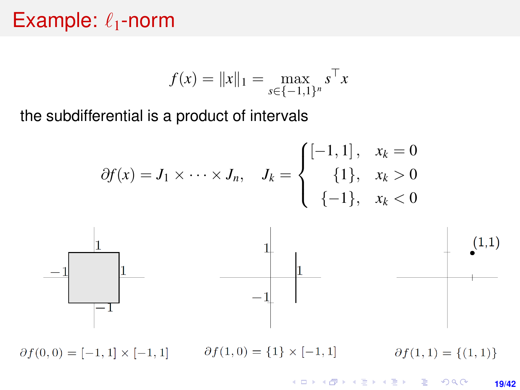## Example:  $\ell_1$ -norm

$$
f(x) = \|x\|_1 = \max_{s \in \{-1,1\}^n} s^\top x
$$

the subdifferential is a product of intervals

$$
\partial f(x) = J_1 \times \cdots \times J_n, \quad J_k = \begin{cases} [-1,1], & x_k = 0 \\ \{1\}, & x_k > 0 \\ \{-1\}, & x_k < 0 \end{cases}
$$



 $\partial f(1,0) = \{1\} \times [-1,1]$  $\partial f(0,0) = [-1,1] \times [-1,1]$  $\partial f(1,1) = \{(1,1)\}\$ 

> K ロ ▶ K @ ▶ K 할 ▶ K 할 ▶ ... 할 → 9 Q @ **19/42**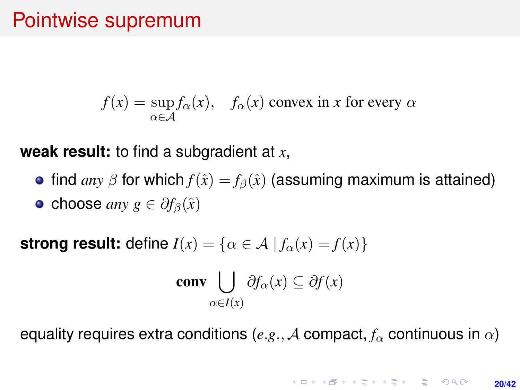# Pointwise supremum

 $f(x) = \sup$  $\sup_{\alpha \in A} f_{\alpha}(x)$ ,  $f_{\alpha}(x)$  convex in *x* for every  $\alpha$ 

**weak result:** to find a subgradient at *x*,

• find *any*  $\beta$  for which  $f(\hat{x}) = f_{\beta}(\hat{x})$  (assuming maximum is attained)  $\bullet$  choose *any*  $g \in \partial f_{\beta}(\hat{x})$ 

**strong result:** define  $I(x) = \{ \alpha \in A \mid f_\alpha(x) = f(x) \}$ 

**conv** 
$$
\bigcup_{\alpha \in I(x)} \partial f_{\alpha}(x) \subseteq \partial f(x)
$$

equality requires extra conditions (*e.g.*, A compact,  $f_\alpha$  continuous in  $\alpha$ )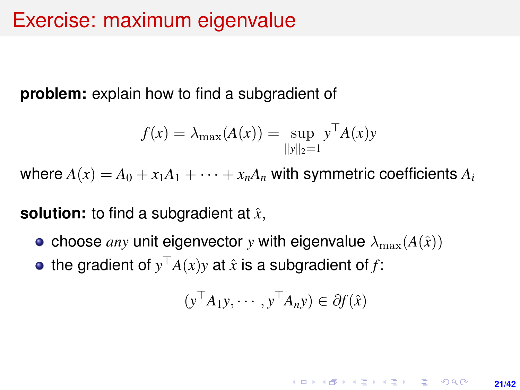## Exercise: maximum eigenvalue

**problem:** explain how to find a subgradient of

$$
f(x) = \lambda_{\max}(A(x)) = \sup_{\|y\|_2 = 1} y^{\top} A(x) y
$$

where  $A(x) = A_0 + x_1A_1 + \cdots + x_nA_n$  with symmetric coefficients  $A_i$ 

**solution:** to find a subgradient at  $\hat{x}$ ,

- choose *any* unit eigenvector *y* with eigenvalue  $\lambda_{\text{max}}(A(\hat{x}))$
- the gradient of  $y^{\top}A(x)y$  at  $\hat{x}$  is a subgradient of  $f$ :

$$
(\mathbf{y}^\top A_1 \mathbf{y}, \cdots, \mathbf{y}^\top A_n \mathbf{y}) \in \partial f(\hat{\mathbf{x}})
$$

**KORKAR KERKER E KORA 21/42**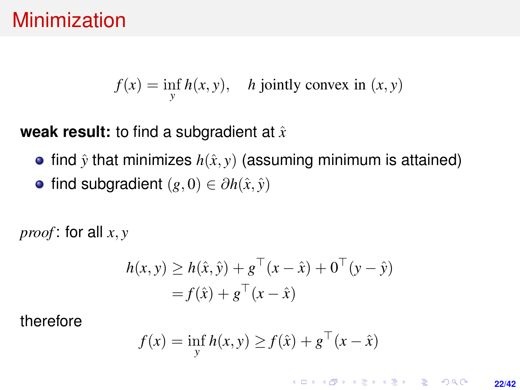# **Minimization**

$$
f(x) = \inf_{y} h(x, y), \quad h \text{ jointly convex in } (x, y)
$$

**weak result:** to find a subgradient at  $\hat{x}$ 

- find  $\hat{y}$  that minimizes  $h(\hat{x}, y)$  (assuming minimum is attained)
- $\bullet$  find subgradient  $(g, 0) \in \partial h(\hat{x}, \hat{y})$

*proof* : for all *x*, *y*

$$
h(x, y) \ge h(\hat{x}, \hat{y}) + g^{\top}(x - \hat{x}) + 0^{\top}(y - \hat{y})
$$
  
=  $f(\hat{x}) + g^{\top}(x - \hat{x})$ 

therefore

$$
f(x) = \inf_{y} h(x, y) \ge f(\hat{x}) + g^{\top}(x - \hat{x})
$$

**KORKARK KERKER DRAM 22/42**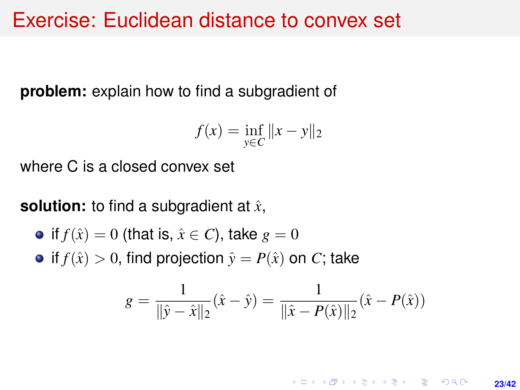#### Exercise: Euclidean distance to convex set

**problem:** explain how to find a subgradient of

$$
f(x) = \inf_{y \in C} ||x - y||_2
$$

where C is a closed convex set

**solution:** to find a subgradient at  $\hat{x}$ ,

• if 
$$
f(\hat{x}) = 0
$$
 (that is,  $\hat{x} \in C$ ), take  $g = 0$ 

• if  $f(\hat{x}) > 0$ , find projection  $\hat{y} = P(\hat{x})$  on *C*; take

$$
g = \frac{1}{\|\hat{y} - \hat{x}\|_2}(\hat{x} - \hat{y}) = \frac{1}{\|\hat{x} - P(\hat{x})\|_2}(\hat{x} - P(\hat{x}))
$$

**KORKARK KERKER DRAM 23/42**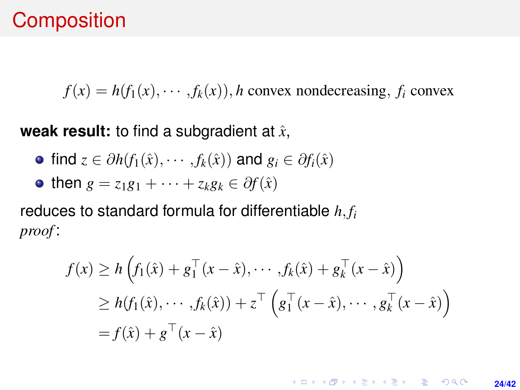## **Composition**

 $f(x) = h(f_1(x), \dots, f_k(x))$ , *h* convex nondecreasing, *f<sub>i</sub>* convex

**weak result:** to find a subgradient at  $\hat{x}$ ,

- $\bullet$  find  $z \in \partial h(f_1(\hat{x}), \cdots, f_k(\hat{x}))$  and  $g_i \in \partial f_i(\hat{x})$
- then  $g = z_1g_1 + \cdots + z_kg_k \in \partial f(\hat{x})$

reduces to standard formula for differentiable *h*, *f<sup>i</sup> proof* :

$$
f(x) \ge h\left(f_1(\hat{x}) + g_1^\top(x - \hat{x}), \cdots, f_k(\hat{x}) + g_k^\top(x - \hat{x})\right)
$$
  
\n
$$
\ge h(f_1(\hat{x}), \cdots, f_k(\hat{x})) + z^\top \left(g_1^\top(x - \hat{x}), \cdots, g_k^\top(x - \hat{x})\right)
$$
  
\n
$$
= f(\hat{x}) + g^\top(x - \hat{x})
$$

**KORKARK KERKER DRAM 24/42**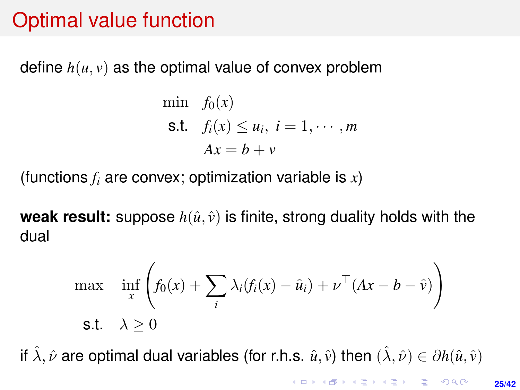# Optimal value function

define  $h(u, v)$  as the optimal value of convex problem

$$
\begin{aligned}\n\min \quad & f_0(x) \\
\text{s.t.} \quad & f_i(x) \le u_i, \ i = 1, \cdots, m \\
& Ax = b + v\n\end{aligned}
$$

(functions *f<sup>i</sup>* are convex; optimization variable is *x*)

**weak result:** suppose  $h(\hat{u}, \hat{v})$  is finite, strong duality holds with the dual

$$
\max_{x} \quad \inf_{x} \left( f_0(x) + \sum_{i} \lambda_i (f_i(x) - \hat{u}_i) + \nu^\top (Ax - b - \hat{v}) \right)
$$
\n
$$
\text{s.t.} \quad \lambda \ge 0
$$

if  $\hat{\lambda}, \hat{\nu}$  are optimal dual variables (for r.h.s.  $\hat{u}, \hat{v}$ ) then  $(\hat{\lambda}, \hat{\nu}) \in \partial h(\hat{u}, \hat{v})$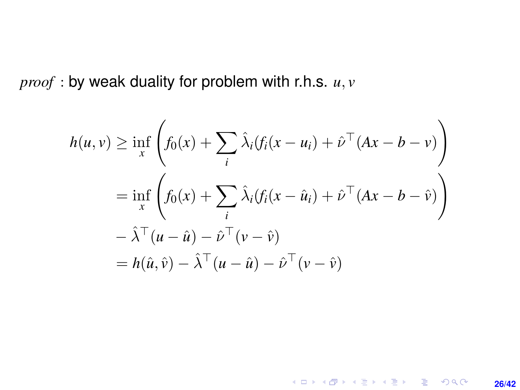*proof* : by weak duality for problem with r.h.s. *u*, *v*

$$
h(u, v) \ge \inf_{x} \left( f_0(x) + \sum_{i} \hat{\lambda}_i (f_i(x - u_i) + \hat{\nu}^\top (Ax - b - v)) \right)
$$
  
=  $\inf_{x} \left( f_0(x) + \sum_{i} \hat{\lambda}_i (f_i(x - \hat{u}_i) + \hat{\nu}^\top (Ax - b - \hat{v})) \right)$   
 $- \hat{\lambda}^\top (u - \hat{u}) - \hat{\nu}^\top (v - \hat{v})$   
=  $h(\hat{u}, \hat{v}) - \hat{\lambda}^\top (u - \hat{u}) - \hat{\nu}^\top (v - \hat{v})$ 

**26/42**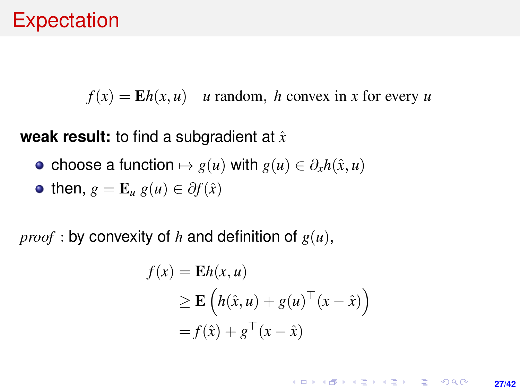# **Expectation**

 $f(x) = \mathbf{E}h(x, u)$  *u* random, *h* convex in *x* for every *u* 

**weak result:** to find a subgradient at  $\hat{x}$ 

• choose a function  $\mapsto g(u)$  with  $g(u) \in \partial_x h(\hat{x}, u)$ 

• then, 
$$
g = \mathbf{E}_u g(u) \in \partial f(\hat{x})
$$

*proof* : by convexity of *h* and definition of  $g(u)$ ,

$$
f(x) = \mathbf{E}h(x, u)
$$
  
\n
$$
\geq \mathbf{E}\left(h(\hat{x}, u) + g(u)^\top (x - \hat{x})\right)
$$
  
\n
$$
= f(\hat{x}) + g^\top (x - \hat{x})
$$

KO KKO KABIKA BIKA 2000 **27/42**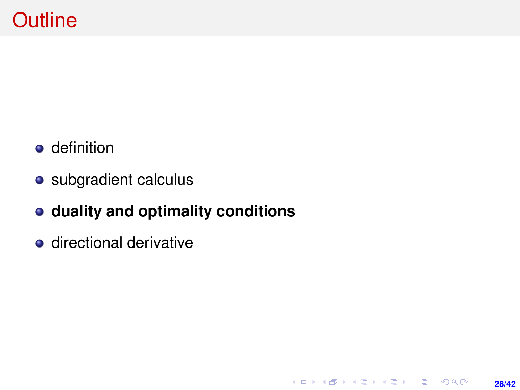- **o** definition
- subgradient calculus
- **duality and optimality conditions**

**28/42**

K ロ ▶ K @ ▶ K 할 ▶ K 할 ▶ ... 할 → 9 Q @

**o** directional derivative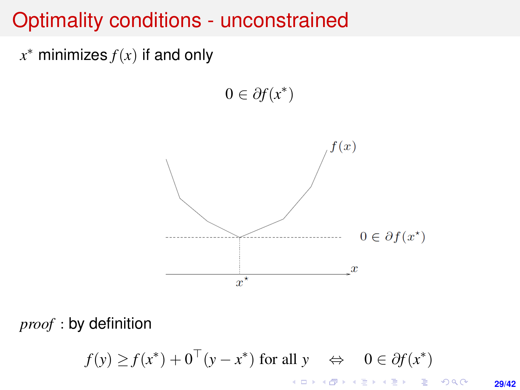## <span id="page-28-0"></span>Optimality conditions - unconstrained

*x* <sup>∗</sup> minimizes *f*(*x*) if and only

 $0 \in \partial f(x^*)$ 



*proof* : by definition

 $f(y) \ge f(x^*) + 0^\top (y - x^*)$  for all  $y \Leftrightarrow 0 \in \partial f(x^*)$ 

**29/42**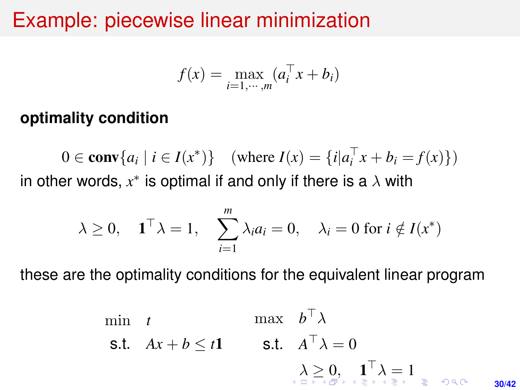## <span id="page-29-0"></span>Example: piecewise linear minimization

$$
f(x) = \max_{i=1,\cdots,m} (a_i^\top x + b_i)
$$

#### **optimality condition**

0 ∈ **conv**{ $a_i | i \in I(x^*)$ } (where  $I(x) = \{i | a_i^\top x + b_i = f(x)\}$ ) in other words,  $x^*$  is optimal if and only if there is a  $\lambda$  with

$$
\lambda \geq 0
$$
,  $\mathbf{1}^\top \lambda = 1$ ,  $\sum_{i=1}^m \lambda_i a_i = 0$ ,  $\lambda_i = 0$  for  $i \notin I(x^*)$ 

these are the optimality conditions for the equivalent linear program

min t max 
$$
b^{\top} \lambda
$$
  
\ns.t.  $Ax + b \le t\mathbf{1}$  s.t.  $A^{\top} \lambda = 0$   
\n $\lambda \ge 0, \quad \mathbf{1}^{\top} \lambda = 1$   
\n $\lambda \ge 0, \quad \mathbf{1}^{\top} \lambda = 1$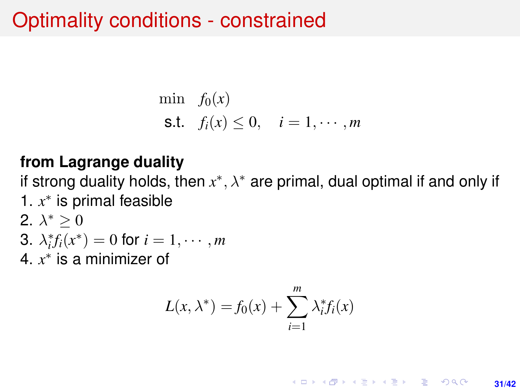# <span id="page-30-0"></span>Optimality conditions - constrained

$$
\begin{aligned}\n\min \quad & f_0(x) \\
\text{s.t.} \quad & f_i(x) \le 0, \quad i = 1, \cdots, m\n\end{aligned}
$$

#### **from Lagrange duality**

if strong duality holds, then  $x^*, \lambda^*$  are primal, dual optimal if and only if 1. *x* ∗ is primal feasible 2.  $\lambda^* \geq 0$ 

3. 
$$
\lambda_i^* f_i(x^*) = 0
$$
 for  $i = 1, \cdots, m$ 

4. *x* ∗ is a minimizer of

$$
L(x, \lambda^*) = f_0(x) + \sum_{i=1}^m \lambda_i^* f_i(x)
$$

KO KARK KEK LE KORA **31/42**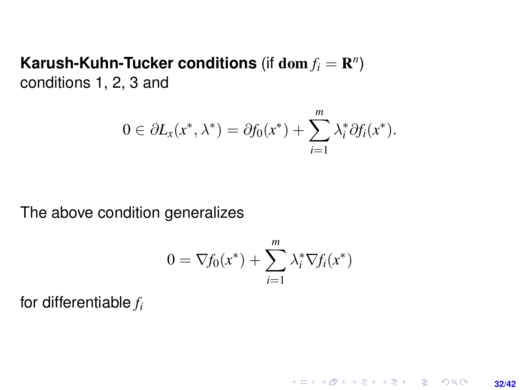#### Karush-Kuhn-Tucker conditions (if  $\textbf{dom}\, f_i = \mathbf{R}^n)$ conditions 1, 2, 3 and

$$
0 \in \partial L_x(x^*, \lambda^*) = \partial f_0(x^*) + \sum_{i=1}^m \lambda_i^* \partial f_i(x^*).
$$

The above condition generalizes

$$
0 = \nabla f_0(x^*) + \sum_{i=1}^m \lambda_i^* \nabla f_i(x^*)
$$

**32/42**

**KORKARKKERK E VAN** 

for differentiable *f<sup>i</sup>*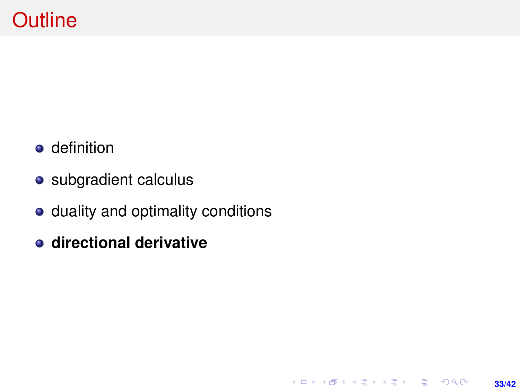- **o** definition
- subgradient calculus
- duality and optimality conditions

**33/42**

K ロ ▶ K @ ▶ K 할 ▶ K 할 ▶ ... 할 → 9 Q @

**directional derivative**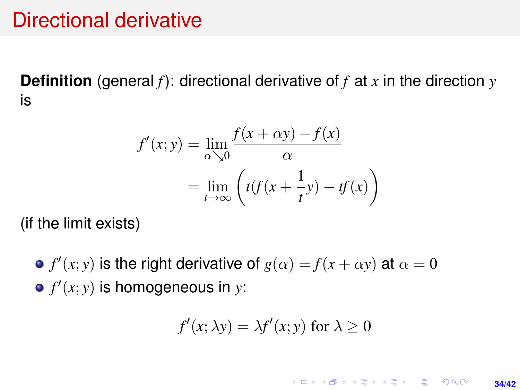## Directional derivative

**Definition** (general *f*): directional derivative of *f* at *x* in the direction *y* is

$$
f'(x; y) = \lim_{\alpha \searrow 0} \frac{f(x + \alpha y) - f(x)}{\alpha}
$$

$$
= \lim_{t \to \infty} \left( t(f(x + \frac{1}{t}y) - tf(x)) \right)
$$

(if the limit exists)

*f*'(*x*; *y*) is the right derivative of  $g(\alpha) = f(x + \alpha y)$  at  $\alpha = 0$  $f'(x; y)$  is homogeneous in *y*:

$$
f'(x; \lambda y) = \lambda f'(x; y) \text{ for } \lambda \ge 0
$$

**KORKARK KERKER DRAM** 

**34/42**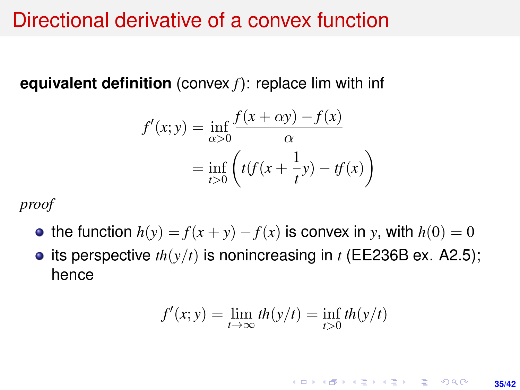## Directional derivative of a convex function

**equivalent definition** (convex *f*): replace lim with inf

$$
f'(x; y) = \inf_{\alpha > 0} \frac{f(x + \alpha y) - f(x)}{\alpha}
$$

$$
= \inf_{t > 0} \left( t(f(x + \frac{1}{t}y) - tf(x)) \right)
$$

*proof*

- the function  $h(y) = f(x + y) f(x)$  is convex in *y*, with  $h(0) = 0$
- its perspective  $th(y/t)$  is nonincreasing in  $t$  (EE236B ex. A2.5); hence

$$
f'(x; y) = \lim_{t \to \infty} th(y/t) = \inf_{t > 0} th(y/t)
$$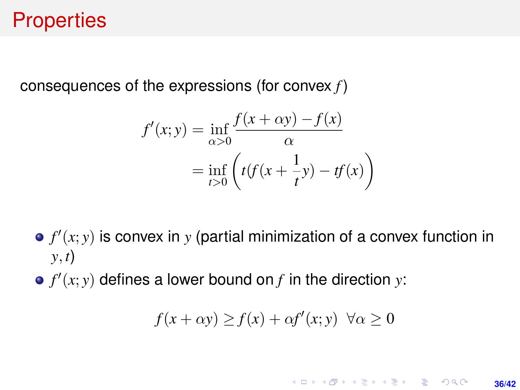# **Properties**

<span id="page-35-0"></span>consequences of the expressions (for convex *f*)

$$
f'(x; y) = \inf_{\alpha > 0} \frac{f(x + \alpha y) - f(x)}{\alpha}
$$

$$
= \inf_{t > 0} \left( t(f(x + \frac{1}{t}y) - tf(x)) \right)
$$

- $f'(x; y)$  is convex in  $y$  (partial minimization of a convex function in *y*, *t*)
- $f'(x; y)$  defines a lower bound on  $f$  in the direction  $y$ :

$$
f(x + \alpha y) \ge f(x) + \alpha f'(x; y) \quad \forall \alpha \ge 0
$$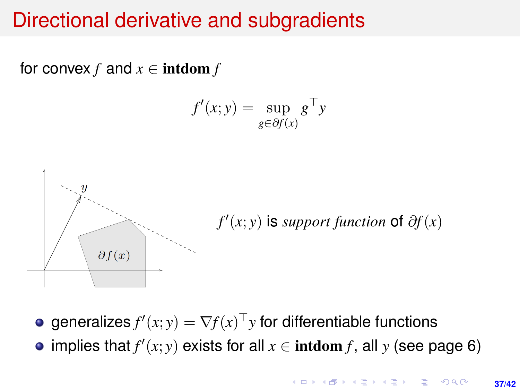# Directional derivative and subgradients

for convex  $f$  and  $x \in \text{intdom } f$ 

$$
f'(x; y) = \sup_{g \in \partial f(x)} g^{\top} y
$$



generalizes  $f'(x; y) = \nabla f(x)^\top y$  for differentiable functions

implies that  $f'(x; y)$  exists for all  $x \in \text{intdom } f$ , all  $y$  (see page [6\)](#page-5-1)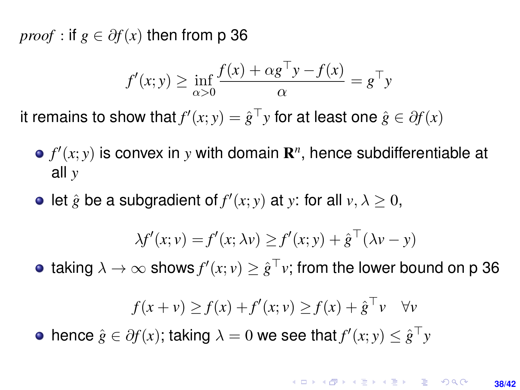*proof* : if  $g \in \partial f(x)$  then from p [36](#page-35-0)

$$
f'(x; y) \ge \inf_{\alpha > 0} \frac{f(x) + \alpha g^{\top} y - f(x)}{\alpha} = g^{\top} y
$$

it remains to show that  $f'(x; y) = \hat{g}^\top y$  for at least one  $\hat{g} \in \partial f(x)$ 

- $f'(x; y)$  is convex in *y* with domain  $\mathbf{R}^n$ , hence subdifferentiable at all *y*
- let  $\hat{g}$  be a subgradient of  $f'(x; y)$  at *y*: for all  $v, \lambda \geq 0$ ,

$$
\lambda f'(x; v) = f'(x; \lambda v) \ge f'(x; y) + \hat{g}^\top(\lambda v - y)
$$

taking  $\lambda \to \infty$  shows  $f'(x;v) \geq \hat{g}^\top v;$  from the lower bound on p [36](#page-35-0)

$$
f(x + v) \ge f(x) + f'(x; v) \ge f(x) + \hat{g}^{\top} v \quad \forall v
$$

hence  $\hat{g} \in \partial f(x)$ ; taking  $\lambda = 0$  we see that  $f'(x; y) \leq \hat{g}^\top y$ 

#### **KORKAR KERKER E VOLCH 38/42**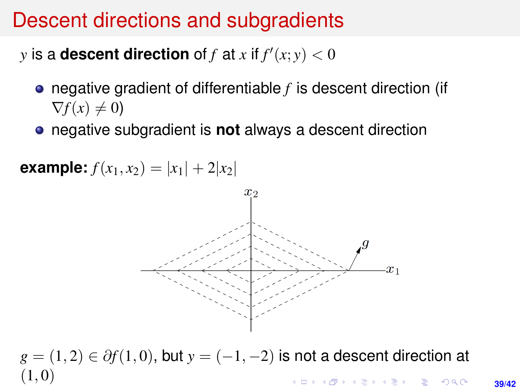# Descent directions and subgradients

*y* is a **descent direction** of *f* at *x* if  $f'(x; y) < 0$ 

- negative gradient of differentiable *f* is descent direction (if  $\nabla f(x) \neq 0$
- negative subgradient is **not** always a descent direction



 $g = (1, 2) \in \partial f(1, 0)$ , but  $y = (-1, -2)$  is not a descent direction at  $(1, 0)$ KORK ERKER ERKER

**39/42**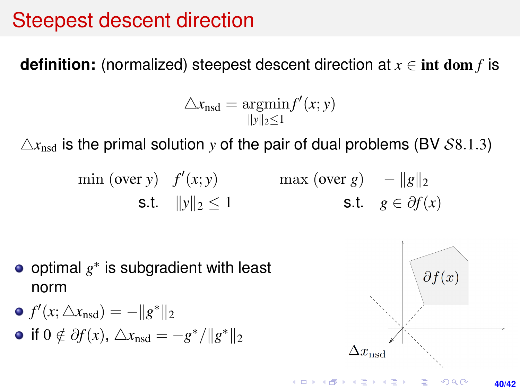# Steepest descent direction

**definition:** (normalized) steepest descent direction at  $x \in \text{int dom } f$  is

$$
\triangle x_{\text{nsd}} = \underset{\|y\|_2 \leq 1}{\operatorname{argmin}} f'(x; y)
$$

 $\Delta x_{\text{nod}}$  is the primal solution *y* of the pair of dual problems (BV S8.1.3)

$$
\begin{array}{ll}\n\text{min (over y)} & f'(x; y) \\
\text{s.t.} & \|y\|_2 \le 1\n\end{array}\n\quad\n\begin{array}{ll}\n\text{max (over g)} & -\|g\|_2 \\
\text{s.t.} & g \in \partial f(x)\n\end{array}
$$

• optimal 
$$
g^*
$$
 is subgradient with least norm

\n- \n
$$
f'(x; \triangle x_{\text{nsd}}) = -\|g^*\|_2
$$
\n
\n- \n if  $0 \notin \partial f(x)$ ,  $\triangle x_{\text{nsd}} = -g^* / \|g^*\|_2$ \n
\n

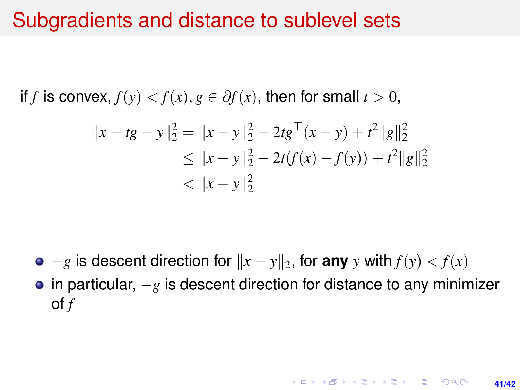## Subgradients and distance to sublevel sets

if *f* is convex,  $f(y) < f(x)$ ,  $g \in \partial f(x)$ , then for small  $t > 0$ ,

$$
||x - tg - y||_2^2 = ||x - y||_2^2 - 2tg^\top(x - y) + t^2||g||_2^2
$$
  
\n
$$
\le ||x - y||_2^2 - 2t(f(x) - f(y)) + t^2||g||_2^2
$$
  
\n
$$
< ||x - y||_2^2
$$

 $\bullet$  −*g* is descent direction for  $\|x - y\|_2$ , for any *y* with  $f(y) < f(x)$ 

• in particular,  $-g$  is descent direction for distance to any minimizer of *f*